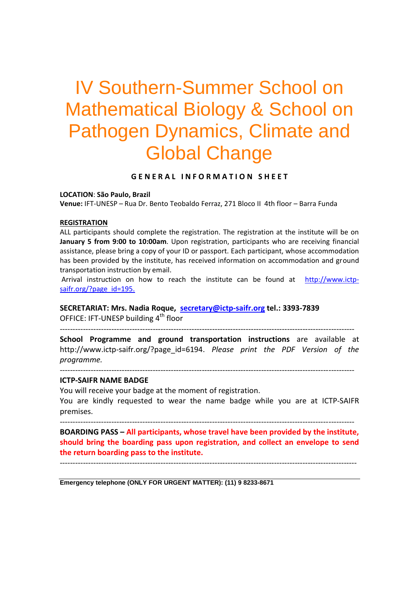# IV Southern-Summer School on Mathematical Biology & School on Pathogen Dynamics, Climate and Global Change

#### **G E N E R A L I N F O R M A T I O N S H E E T**

**LOCATION**: **São Paulo, Brazil**

**Venue:** IFT-UNESP – Rua Dr. Bento Teobaldo Ferraz, 271 Bloco II 4th floor – Barra Funda

#### **REGISTRATION**

ALL participants should complete the registration. The registration at the institute will be on **January 5 from 9:00 to 10:00am**. Upon registration, participants who are receiving financial assistance, please bring a copy of your ID or passport. Each participant, whose accommodation has been provided by the institute, has received information on accommodation and ground transportation instruction by email.

Arrival instruction on how to reach the institute can be found at [http://www.ictp](http://www.ictp-saifr.org/?page_id=195)[saifr.org/?page\\_id=195.](http://www.ictp-saifr.org/?page_id=195)

## **SECRETARIAT: Mrs. Nadia Roque, [secretary@ictp-saifr.org](mailto:secretary@ictp-saifr.org) tel.: 3393-7839**

OFFICE: IFT-UNESP building 4<sup>th</sup> floor ------------------------------------------------------------------------------------------------------------------

**School Programme and ground transportation instructions** are available at http://www.ictp-saifr.org/?page\_id=6194. *Please print the PDF Version of the programme.*

```
------------------------------------------------------------------------------------------------------------------
```
#### **ICTP-SAIFR NAME BADGE**

You will receive your badge at the moment of registration. You are kindly requested to wear the name badge while you are at ICTP-SAIFR premises.

------------------------------------------------------------------------------------------------------------------

**BOARDING PASS – All participants, whose travel have been provided by the institute, should bring the boarding pass upon registration, and collect an envelope to send the return boarding pass to the institute.**

-------------------------------------------------------------------------------------------------------------------

**Emergency telephone (ONLY FOR URGENT MATTER): (11) 9 8233-8671**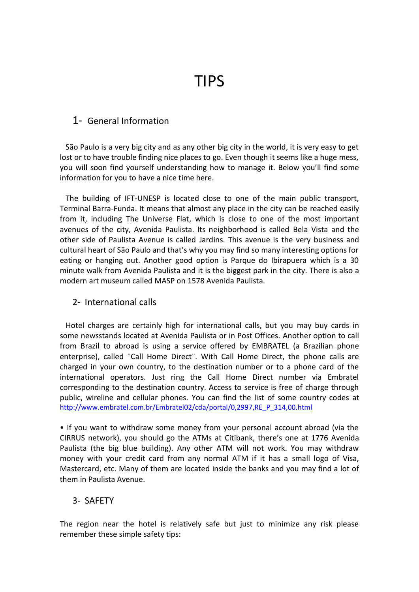TIPS

## 1- General Information

 São Paulo is a very big city and as any other big city in the world, it is very easy to get lost or to have trouble finding nice places to go. Even though it seems like a huge mess, you will soon find yourself understanding how to manage it. Below you'll find some information for you to have a nice time here.

 The building of IFT-UNESP is located close to one of the main public transport, Terminal Barra-Funda. It means that almost any place in the city can be reached easily from it, including The Universe Flat, which is close to one of the most important avenues of the city, Avenida Paulista. Its neighborhood is called Bela Vista and the other side of Paulista Avenue is called Jardins. This avenue is the very business and cultural heart of São Paulo and that's why you may find so many interesting options for eating or hanging out. Another good option is Parque do Ibirapuera which is a 30 minute walk from Avenida Paulista and it is the biggest park in the city. There is also a modern art museum called MASP on 1578 Avenida Paulista.

## 2- International calls

 Hotel charges are certainly high for international calls, but you may buy cards in some newsstands located at Avenida Paulista or in Post Offices. Another option to call from Brazil to abroad is using a service offered by EMBRATEL (a Brazilian phone enterprise), called ¨Call Home Direct¨. With Call Home Direct, the phone calls are charged in your own country, to the destination number or to a phone card of the international operators. Just ring the Call Home Direct number via Embratel corresponding to the destination country. Access to service is free of charge through public, wireline and cellular phones. You can find the list of some country codes at [http://www.embratel.com.br/Embratel02/cda/portal/0,2997,RE\\_P\\_314,00.html](http://www.embratel.com.br/Embratel02/cda/portal/0,2997,RE_P_314,00.html)

• If you want to withdraw some money from your personal account abroad (via the CIRRUS network), you should go the ATMs at Citibank, there's one at 1776 Avenida Paulista (the big blue building). Any other ATM will not work. You may withdraw money with your credit card from any normal ATM if it has a small logo of Visa, Mastercard, etc. Many of them are located inside the banks and you may find a lot of them in Paulista Avenue.

## 3- SAFETY

The region near the hotel is relatively safe but just to minimize any risk please remember these simple safety tips: